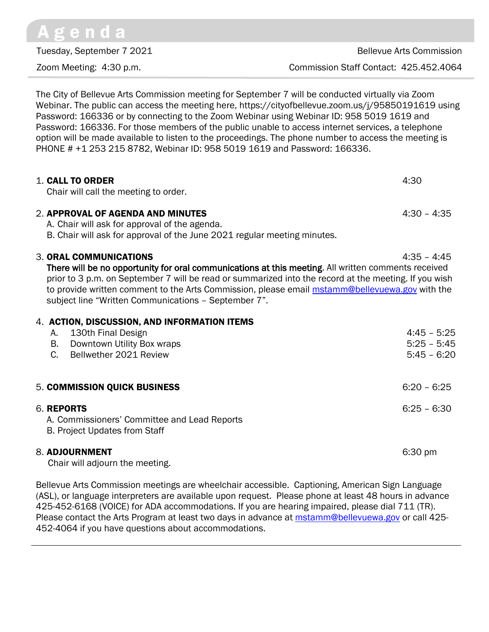The City of Bellevue Arts Commission meeting for September 7 will be conducted virtually via Zoom Webinar. The public can access the meeting here, https://cityofbellevue.zoom.us/j/95850191619 using Password: 166336 or by connecting to the Zoom Webinar using Webinar ID: 958 5019 1619 and Password: 166336. For those members of the public unable to access internet services, a telephone option will be made available to listen to the proceedings. The phone number to access the meeting is PHONE # +1 253 215 8782, Webinar ID: 958 5019 1619 and Password: 166336.

| 1. CALL TO ORDER<br>Chair will call the meeting to order.                                                                                                                                                                                                                                                                                                                                        | 4:30                                            |
|--------------------------------------------------------------------------------------------------------------------------------------------------------------------------------------------------------------------------------------------------------------------------------------------------------------------------------------------------------------------------------------------------|-------------------------------------------------|
| 2. APPROVAL OF AGENDA AND MINUTES<br>A. Chair will ask for approval of the agenda.<br>B. Chair will ask for approval of the June 2021 regular meeting minutes.                                                                                                                                                                                                                                   | $4:30 - 4:35$                                   |
| 3. ORAL COMMUNICATIONS<br>There will be no opportunity for oral communications at this meeting. All written comments received<br>prior to 3 p.m. on September 7 will be read or summarized into the record at the meeting. If you wish<br>to provide written comment to the Arts Commission, please email mstamm@bellevuewa.gov with the<br>subject line "Written Communications - September 7". | $4:35 - 4:45$                                   |
| 4. ACTION, DISCUSSION, AND INFORMATION ITEMS<br>130th Final Design<br>A.<br>B. Downtown Utility Box wraps<br>$C_{\cdot}$<br>Bellwether 2021 Review                                                                                                                                                                                                                                               | $4:45 - 5:25$<br>$5:25 - 5:45$<br>$5:45 - 6:20$ |
| 5. COMMISSION QUICK BUSINESS                                                                                                                                                                                                                                                                                                                                                                     | $6:20 - 6:25$                                   |
| 6. REPORTS<br>A. Commissioners' Committee and Lead Reports<br>B. Project Updates from Staff                                                                                                                                                                                                                                                                                                      | $6:25 - 6:30$                                   |
| 8. ADJOURNMENT<br>Chair will adjourn the meeting.                                                                                                                                                                                                                                                                                                                                                | $6:30 \text{ pm}$                               |

Bellevue Arts Commission meetings are wheelchair accessible. Captioning, American Sign Language (ASL), or language interpreters are available upon request. Please phone at least 48 hours in advance 425-452-6168 (VOICE) for ADA accommodations. If you are hearing impaired, please dial 711 (TR). Please contact the Arts Program at least two days in advance at **[mstamm@bellevuewa.gov](mailto:mstamm@bellevuewa.gov)** or call 425-452-4064 if you have questions about accommodations.